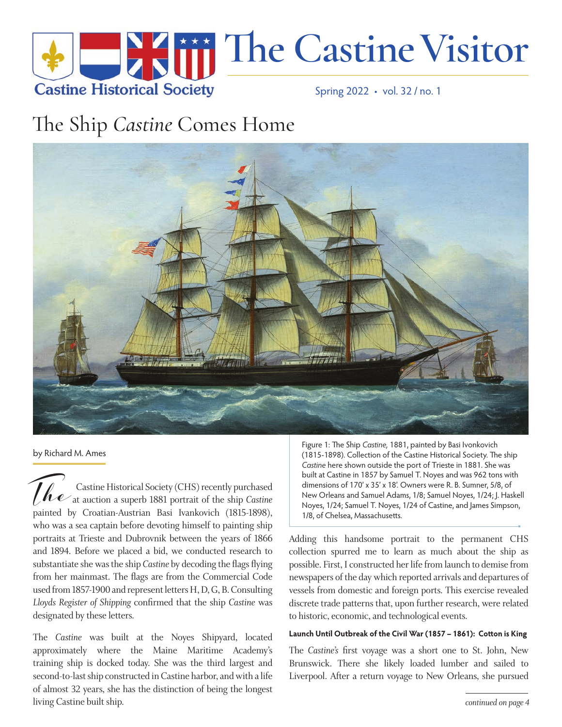

# The Ship *Castine* Comes Home



by Richard M. Ames

Castine Historical Society (CHS) recently purchased at auction a superb 1881 portrait of the ship *Castine*  painted by Croatian-Austrian Basi Ivankovich (1815-1898), who was a sea captain before devoting himself to painting ship portraits at Trieste and Dubrovnik between the years of 1866 and 1894. Before we placed a bid, we conducted research to substantiate she was the ship *Castine* by decoding the flags flying from her mainmast. The flags are from the Commercial Code used from 1857-1900 and represent letters H, D, G, B. Consulting *Lloyds Register of Shipping confirmed that the ship Castine* was designated by these letters. *(he*<br>painted b

The *Castine* was built at the Noyes Shipyard, located approximately where the Maine Maritime Academy's training ship is docked today. She was the third largest and second-to-last ship constructed in Castine harbor, and with a life of almost 32 years, she has the distinction of being the longest living Castine built ship.

Figure 1: The Ship *Castine*, 1881, painted by Basi Ivonkovich (1815-1898). Collection of the Castine Historical Society. The ship *Castine* here shown outside the port of Trieste in 1881. She was built at Castine in 1857 by Samuel T. Noyes and was 962 tons with dimensions of 170' x 35' x 18'. Owners were R. B. Sumner, 5/8, of New Orleans and Samuel Adams, 1/8; Samuel Noyes, 1/24; J. Haskell Noyes, 1/24; Samuel T. Noyes, 1/24 of Castine, and James Simpson, 1/8, of Chelsea, Massachusetts.

Adding this handsome portrait to the permanent CHS collection spurred me to learn as much about the ship as possible. First, I constructed her life from launch to demise from newspapers of the day which reported arrivals and departures of vessels from domestic and foreign ports. This exercise revealed discrete trade patterns that, upon further research, were related to historic, economic, and technological events.

#### Launch Until Outbreak of the Civil War (1857 - 1861): Cotton is King

The *Castine's* first voyage was a short one to St. John, New Brunswick. There she likely loaded lumber and sailed to Liverpool. After a return voyage to New Orleans, she pursued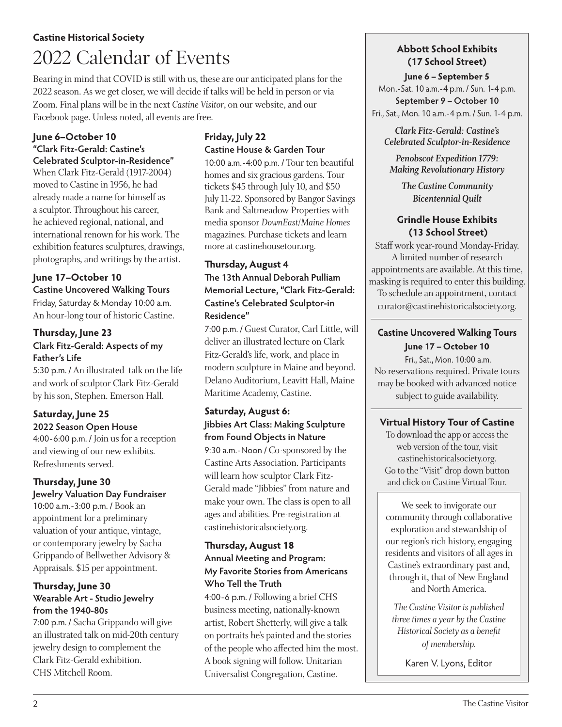### **Castine Historical Society** 2022 Calendar of Events

Bearing in mind that COVID is still with us, these are our anticipated plans for the 2022 season. As we get closer, we will decide if talks will be held in person or via Zoom. Final plans will be in the next *Castine Visitor*, on our website, and our Facebook page. Unless noted, all events are free.

#### **June 6–October 10 "Clark Fitz-Gerald: Castine's Celebrated Sculptor-in-Residence"**

When Clark Fitz-Gerald (1917-2004) moved to Castine in 1956, he had already made a name for himself as a sculptor. Throughout his career, he achieved regional, national, and international renown for his work. The exhibition features sculptures, drawings, photographs, and writings by the artist.

### **June 17–October 10**

**Castine Uncovered Walking Tours** Friday, Saturday & Monday 10:00 a.m.

An hour-long tour of historic Castine.

#### **Thursday, June 23 Clark Fitz-Gerald: Aspects of my Father's Life**

5:30 p.m. / An illustrated talk on the life and work of sculptor Clark Fitz-Gerald by his son, Stephen. Emerson Hall.

### **Saturday, June 25**

**2022 Season Open House** 4:00-6:00 p.m. / Join us for a reception and viewing of our new exhibits. Refreshments served.

## **ursday, June 30**

**Jewelry Valuation Day Fundraiser** 10:00 a.m.-3:00 p.m. / Book an appointment for a preliminary valuation of your antique, vintage, or contemporary jewelry by Sacha Grippando of Bellwether Advisory & Appraisals. \$15 per appointment.

#### **ursday, June 30 Wearable Art - Studio Jewelry from the 1940-80s**

7:00 p.m. / Sacha Grippando will give an illustrated talk on mid-20th century jewelry design to complement the Clark Fitz-Gerald exhibition. CHS Mitchell Room.

#### **Friday, July 22 Castine House & Garden Tour**

10:00 a.m.-4:00 p.m. / Tour ten beautiful homes and six gracious gardens. Tour tickets \$45 through July 10, and \$50 July 11-22. Sponsored by Bangor Savings Bank and Saltmeadow Properties with media sponsor *DownEast*/*Maine Homes*  magazines. Purchase tickets and learn more at castinehousetour.org.

## **ursday, August 4**

#### **e 13th Annual Deborah Pulliam Memorial Lecture, "Clark Fitz-Gerald: Castine's Celebrated Sculptor-in Residence"**

7:00 p.m. / Guest Curator, Carl Little, will deliver an illustrated lecture on Clark Fitz-Gerald's life, work, and place in modern sculpture in Maine and beyond. Delano Auditorium, Leavitt Hall, Maine Maritime Academy, Castine.

#### **Saturday, August 6: Jibbies Art Class: Making Sculpture from Found Objects in Nature**

9:30 a.m.-Noon / Co-sponsored by the Castine Arts Association. Participants will learn how sculptor Clark Fitz-Gerald made "Jibbies" from nature and make your own. The class is open to all ages and abilities. Pre-registration at castinehistoricalsociety.org.

#### **ursday, August 18 Annual Meeting and Program: My Favorite Stories from Americans Who Tell the Truth**

4:00-6 p.m. / Following a brief CHS business meeting, nationally-known artist, Robert Shetterly, will give a talk on portraits he's painted and the stories of the people who affected him the most. A book signing will follow. Unitarian Universalist Congregation, Castine.

#### **Abbott School Exhibits (17 School Street)**

**June 6 – September 5** Mon.-Sat. 10 a.m.-4 p.m. / Sun. 1-4 p.m. **September 9 – October 10** Fri., Sat., Mon. 10 a.m.-4 p.m. / Sun. 1-4 p.m.

*Clark Fitz-Gerald: Castine's Celebrated Sculptor-in-Residence*

*Penobscot Expedition 1779: Making Revolutionary History*

> *The Castine Community Bicentennial Quilt*

#### **Grindle House Exhibits (13 School Street)**

Staff work year-round Monday-Friday. A limited number of research appointments are available. At this time, masking is required to enter this building. To schedule an appointment, contact curator@castinehistoricalsociety.org.

#### **Castine Uncovered Walking Tours June 17 – October 10**

Fri., Sat., Mon. 10:00 a.m. No reservations required. Private tours may be booked with advanced notice subject to guide availability.

#### **Virtual History Tour of Castine**

To download the app or access the web version of the tour, visit castinehistoricalsociety.org. Go to the "Visit" drop down button and click on Castine Virtual Tour.

We seek to invigorate our community through collaborative exploration and stewardship of our region's rich history, engaging residents and visitors of all ages in Castine's extraordinary past and, through it, that of New England and North America.

*The Castine Visitor is published three times a year by the Castine*  **Historical Society as a benefit** *of membership.* 

Karen V. Lyons, Editor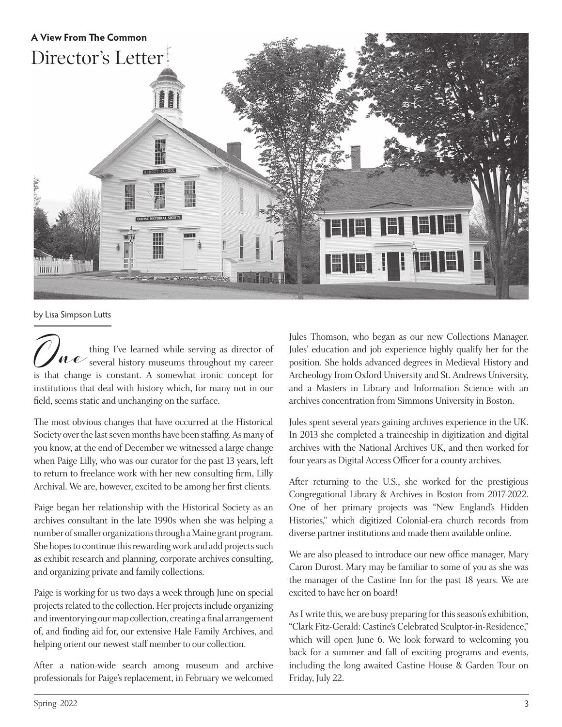

by Lisa Simpson Lutts

thing I've learned while serving as director of several history museums throughout my career is that change is constant. A somewhat ironic concept for institutions that deal with history which, for many not in our field, seems static and unchanging on the surface. *ne* 

The most obvious changes that have occurred at the Historical Society over the last seven months have been staffing. As many of you know, at the end of December we witnessed a large change when Paige Lilly, who was our curator for the past 13 years, left to return to freelance work with her new consulting firm, Lilly Archival. We are, however, excited to be among her first clients.

Paige began her relationship with the Historical Society as an archives consultant in the late 1990s when she was helping a number of smaller organizations through a Maine grant program. She hopes to continue this rewarding work and add projects such as exhibit research and planning, corporate archives consulting, and organizing private and family collections.

Paige is working for us two days a week through June on special projects related to the collection. Her projects include organizing and inventorying our map collection, creating a final arrangement of, and finding aid for, our extensive Hale Family Archives, and helping orient our newest staff member to our collection.

After a nation-wide search among museum and archive professionals for Paige's replacement, in February we welcomed

Jules Thomson, who began as our new Collections Manager. Jules' education and job experience highly qualify her for the position. She holds advanced degrees in Medieval History and Archeology from Oxford University and St. Andrews University, and a Masters in Library and Information Science with an archives concentration from Simmons University in Boston.

Jules spent several years gaining archives experience in the UK. In 2013 she completed a traineeship in digitization and digital archives with the National Archives UK, and then worked for four years as Digital Access Officer for a county archives.

After returning to the U.S., she worked for the prestigious Congregational Library & Archives in Boston from 2017-2022. One of her primary projects was "New England's Hidden Histories," which digitized Colonial-era church records from diverse partner institutions and made them available online.

We are also pleased to introduce our new office manager, Mary Caron Durost. Mary may be familiar to some of you as she was the manager of the Castine Inn for the past 18 years. We are excited to have her on board!

As I write this, we are busy preparing for this season's exhibition, "Clark Fitz-Gerald: Castine's Celebrated Sculptor-in-Residence," which will open June 6. We look forward to welcoming you back for a summer and fall of exciting programs and events, including the long awaited Castine House & Garden Tour on Friday, July 22.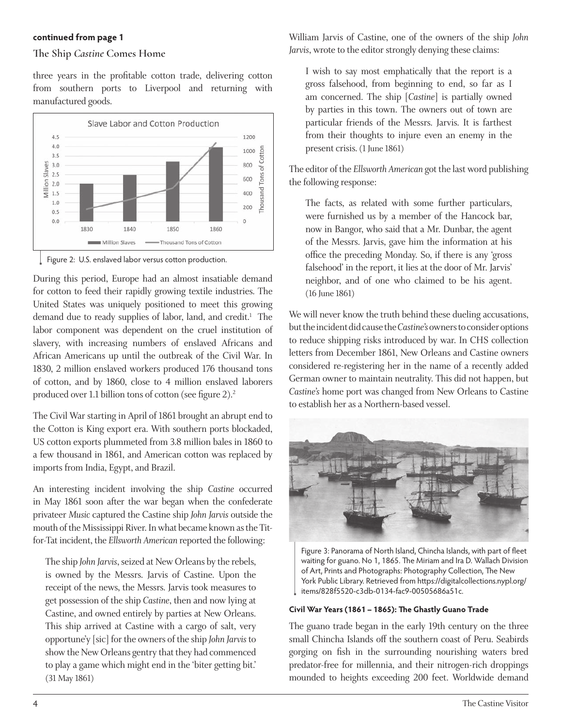#### **continued from page 1**

#### **The Ship** *Castine* **Comes Home**

three years in the profitable cotton trade, delivering cotton from southern ports to Liverpool and returning with manufactured goods.



Figure 2: U.S. enslaved labor versus cotton production.

During this period, Europe had an almost insatiable demand for cotton to feed their rapidly growing textile industries. The United States was uniquely positioned to meet this growing demand due to ready supplies of labor, land, and credit.<sup>1</sup> The labor component was dependent on the cruel institution of slavery, with increasing numbers of enslaved Africans and African Americans up until the outbreak of the Civil War. In 1830, 2 million enslaved workers produced 176 thousand tons of cotton, and by 1860, close to 4 million enslaved laborers produced over 1.1 billion tons of cotton (see figure 2).<sup>2</sup>

The Civil War starting in April of 1861 brought an abrupt end to the Cotton is King export era. With southern ports blockaded, US cotton exports plummeted from 3.8 million bales in 1860 to a few thousand in 1861, and American cotton was replaced by imports from India, Egypt, and Brazil.

An interesting incident involving the ship *Castine* occurred in May 1861 soon after the war began when the confederate privateer *Music* captured the Castine ship *John Jarvis* outside the mouth of the Mississippi River. In what became known as the Titfor-Tat incident, the *Ellsworth American* reported the following:

The ship *John Jarvis*, seized at New Orleans by the rebels, is owned by the Messrs. Jarvis of Castine. Upon the receipt of the news, the Messrs. Jarvis took measures to get possession of the ship *Castine*, then and now lying at Castine, and owned entirely by parties at New Orleans. This ship arrived at Castine with a cargo of salt, very opportune'y [sic] for the owners of the ship *John Jarvis* to show the New Orleans gentry that they had commenced to play a game which might end in the 'biter getting bit.' (31 May 1861)

William Jarvis of Castine, one of the owners of the ship *John Jarvis*, wrote to the editor strongly denying these claims:

I wish to say most emphatically that the report is a gross falsehood, from beginning to end, so far as I am concerned. The ship [*Castine*] is partially owned by parties in this town. The owners out of town are particular friends of the Messrs. Jarvis. It is farthest from their thoughts to injure even an enemy in the present crisis. (1 June 1861)

The editor of the *Ellsworth American* got the last word publishing the following response:

The facts, as related with some further particulars, were furnished us by a member of the Hancock bar, now in Bangor, who said that a Mr. Dunbar, the agent of the Messrs. Jarvis, gave him the information at his office the preceding Monday. So, if there is any 'gross falsehood' in the report, it lies at the door of Mr. Jarvis' neighbor, and of one who claimed to be his agent. (16 June 1861)

We will never know the truth behind these dueling accusations, but the incident did cause the *Castine's* owners to consider options to reduce shipping risks introduced by war. In CHS collection letters from December 1861, New Orleans and Castine owners considered re-registering her in the name of a recently added German owner to maintain neutrality. This did not happen, but *Castine's* home port was changed from New Orleans to Castine to establish her as a Northern-based vessel.



Figure 3: Panorama of North Island, Chincha Islands, with part of fleet waiting for guano. No 1, 1865. The Miriam and Ira D. Wallach Division of Art, Prints and Photographs: Photography Collection, The New York Public Library. Retrieved from https://digitalcollections.nypl.org/ items/828f5520-c3db-0134-fac9-00505686a51c.

#### Civil War Years (1861 - 1865): The Ghastly Guano Trade

The guano trade began in the early 19th century on the three small Chincha Islands off the southern coast of Peru. Seabirds gorging on fish in the surrounding nourishing waters bred predator-free for millennia, and their nitrogen-rich droppings mounded to heights exceeding 200 feet. Worldwide demand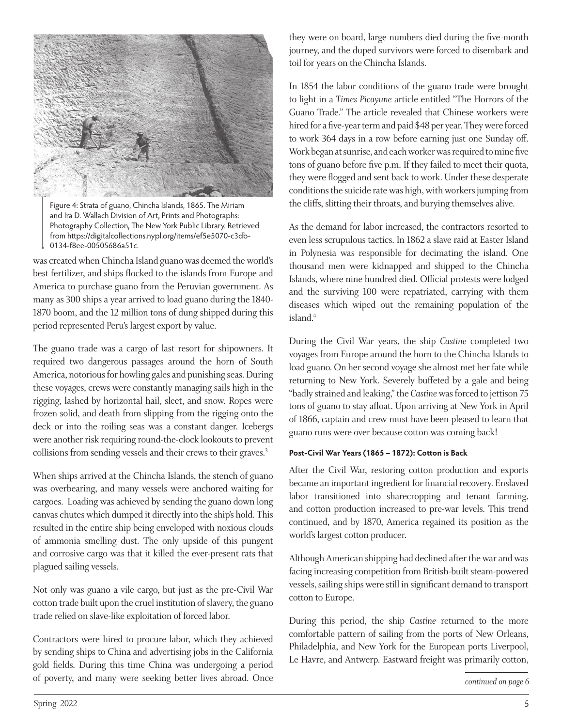

Figure 4: Strata of guano, Chincha Islands, 1865. The Miriam and Ira D. Wallach Division of Art, Prints and Photographs: Photography Collection, The New York Public Library. Retrieved from https://digitalcollections.nypl.org/items/ef5e5070-c3db-0134-f8ee-00505686a51c.

was created when Chincha Island guano was deemed the world's best fertilizer, and ships flocked to the islands from Europe and America to purchase guano from the Peruvian government. As many as 300 ships a year arrived to load guano during the 1840- 1870 boom, and the 12 million tons of dung shipped during this period represented Peru's largest export by value.

The guano trade was a cargo of last resort for shipowners. It required two dangerous passages around the horn of South America, notorious for howling gales and punishing seas. During these voyages, crews were constantly managing sails high in the rigging, lashed by horizontal hail, sleet, and snow. Ropes were frozen solid, and death from slipping from the rigging onto the deck or into the roiling seas was a constant danger. Icebergs were another risk requiring round-the-clock lookouts to prevent collisions from sending vessels and their crews to their graves.<sup>3</sup>

When ships arrived at the Chincha Islands, the stench of guano was overbearing, and many vessels were anchored waiting for cargoes. Loading was achieved by sending the guano down long canvas chutes which dumped it directly into the ship's hold. This resulted in the entire ship being enveloped with noxious clouds of ammonia smelling dust. The only upside of this pungent and corrosive cargo was that it killed the ever-present rats that plagued sailing vessels.

Not only was guano a vile cargo, but just as the pre-Civil War cotton trade built upon the cruel institution of slavery, the guano trade relied on slave-like exploitation of forced labor.

Contractors were hired to procure labor, which they achieved by sending ships to China and advertising jobs in the California gold fields. During this time China was undergoing a period of poverty, and many were seeking better lives abroad. Once

they were on board, large numbers died during the five-month journey, and the duped survivors were forced to disembark and toil for years on the Chincha Islands.

In 1854 the labor conditions of the guano trade were brought to light in a *Times Picayune* article entitled "The Horrors of the Guano Trade." The article revealed that Chinese workers were hired for a five-year term and paid \$48 per year. They were forced to work 364 days in a row before earning just one Sunday off. Work began at sunrise, and each worker was required to mine five tons of guano before five p.m. If they failed to meet their quota, they were flogged and sent back to work. Under these desperate conditions the suicide rate was high, with workers jumping from the cliffs, slitting their throats, and burying themselves alive.

As the demand for labor increased, the contractors resorted to even less scrupulous tactics. In 1862 a slave raid at Easter Island in Polynesia was responsible for decimating the island. One thousand men were kidnapped and shipped to the Chincha Islands, where nine hundred died. Official protests were lodged and the surviving 100 were repatriated, carrying with them diseases which wiped out the remaining population of the island.4

During the Civil War years, the ship *Castine* completed two voyages from Europe around the horn to the Chincha Islands to load guano. On her second voyage she almost met her fate while returning to New York. Severely buffeted by a gale and being "badly strained and leaking," the *Castine* was forced to jettison 75 tons of guano to stay afloat. Upon arriving at New York in April of 1866, captain and crew must have been pleased to learn that guano runs were over because cotton was coming back!

#### Post-Civil War Years (1865 - 1872): Cotton is Back

After the Civil War, restoring cotton production and exports became an important ingredient for financial recovery. Enslaved labor transitioned into sharecropping and tenant farming, and cotton production increased to pre-war levels. This trend continued, and by 1870, America regained its position as the world's largest cotton producer.

Although American shipping had declined after the war and was facing increasing competition from British-built steam-powered vessels, sailing ships were still in significant demand to transport cotton to Europe.

During this period, the ship *Castine* returned to the more comfortable pattern of sailing from the ports of New Orleans, Philadelphia, and New York for the European ports Liverpool, Le Havre, and Antwerp. Eastward freight was primarily cotton,

*continued on page 6*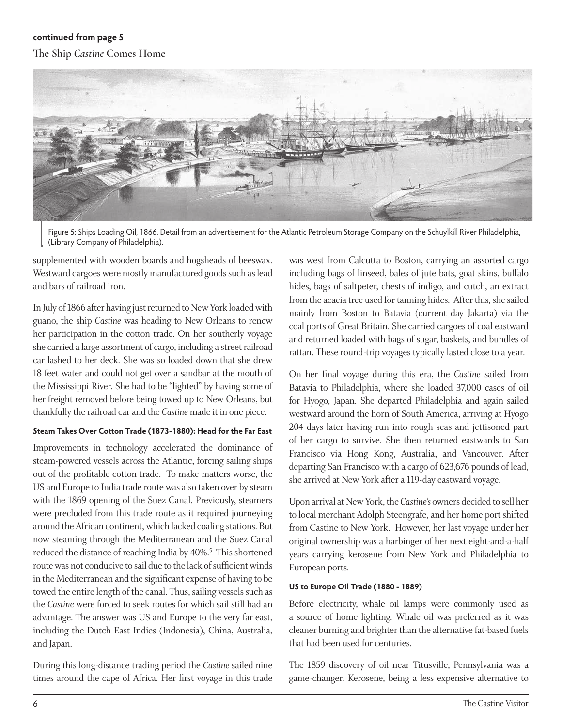#### **continued from page 5 The Ship** *Castine* **Comes Home**



Figure 5: Ships Loading Oil, 1866. Detail from an advertisement for the Atlantic Petroleum Storage Company on the Schuylkill River Philadelphia, (Library Company of Philadelphia).

supplemented with wooden boards and hogsheads of beeswax. Westward cargoes were mostly manufactured goods such as lead and bars of railroad iron.

In July of 1866 after having just returned to New York loaded with guano, the ship *Castine* was heading to New Orleans to renew her participation in the cotton trade. On her southerly voyage she carried a large assortment of cargo, including a street railroad car lashed to her deck. She was so loaded down that she drew 18 feet water and could not get over a sandbar at the mouth of the Mississippi River. She had to be "lighted" by having some of her freight removed before being towed up to New Orleans, but thankfully the railroad car and the *Castine* made it in one piece.

#### Steam Takes Over Cotton Trade (1873-1880): Head for the Far East

Improvements in technology accelerated the dominance of steam-powered vessels across the Atlantic, forcing sailing ships out of the profitable cotton trade. To make matters worse, the US and Europe to India trade route was also taken over by steam with the 1869 opening of the Suez Canal. Previously, steamers were precluded from this trade route as it required journeying around the African continent, which lacked coaling stations. But now steaming through the Mediterranean and the Suez Canal reduced the distance of reaching India by 40%.<sup>5</sup> This shortened route was not conducive to sail due to the lack of sufficient winds in the Mediterranean and the significant expense of having to be towed the entire length of the canal. Thus, sailing vessels such as the *Castine* were forced to seek routes for which sail still had an advantage. The answer was US and Europe to the very far east, including the Dutch East Indies (Indonesia), China, Australia, and Japan.

During this long-distance trading period the *Castine* sailed nine times around the cape of Africa. Her first voyage in this trade was west from Calcutta to Boston, carrying an assorted cargo including bags of linseed, bales of jute bats, goat skins, buffalo hides, bags of saltpeter, chests of indigo, and cutch, an extract from the acacia tree used for tanning hides. After this, she sailed mainly from Boston to Batavia (current day Jakarta) via the coal ports of Great Britain. She carried cargoes of coal eastward and returned loaded with bags of sugar, baskets, and bundles of rattan. These round-trip voyages typically lasted close to a year.

On her final voyage during this era, the *Castine* sailed from Batavia to Philadelphia, where she loaded 37,000 cases of oil for Hyogo, Japan. She departed Philadelphia and again sailed westward around the horn of South America, arriving at Hyogo 204 days later having run into rough seas and jettisoned part of her cargo to survive. She then returned eastwards to San Francisco via Hong Kong, Australia, and Vancouver. After departing San Francisco with a cargo of 623,676 pounds of lead, she arrived at New York after a 119-day eastward voyage.

Upon arrival at New York, the *Castine's* owners decided to sell her to local merchant Adolph Steengrafe, and her home port shifted from Castine to New York. However, her last voyage under her original ownership was a harbinger of her next eight-and-a-half years carrying kerosene from New York and Philadelphia to European ports.

#### **US to Europe Oil Trade (1880 - 1889)**

Before electricity, whale oil lamps were commonly used as a source of home lighting. Whale oil was preferred as it was cleaner burning and brighter than the alternative fat-based fuels that had been used for centuries.

The 1859 discovery of oil near Titusville, Pennsylvania was a game-changer. Kerosene, being a less expensive alternative to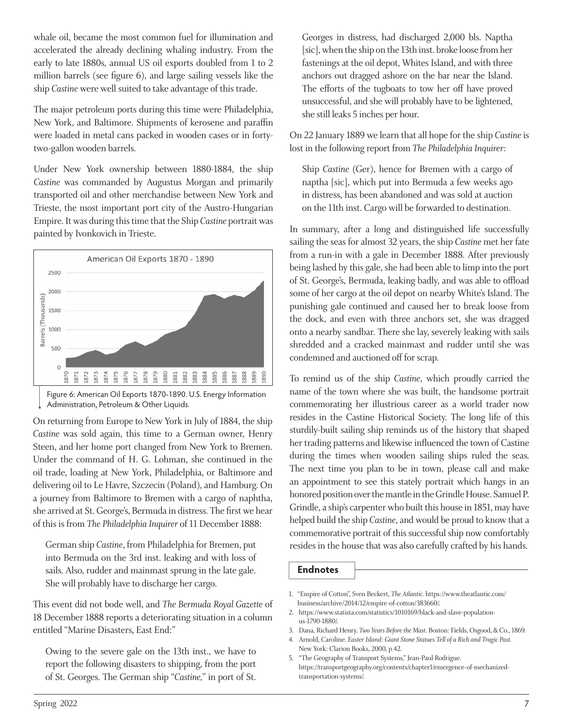whale oil, became the most common fuel for illumination and accelerated the already declining whaling industry. From the early to late 1880s, annual US oil exports doubled from 1 to 2 million barrels (see figure 6), and large sailing vessels like the ship *Castine* were well suited to take advantage of this trade.

The major petroleum ports during this time were Philadelphia, New York, and Baltimore. Shipments of kerosene and paraffin were loaded in metal cans packed in wooden cases or in fortytwo-gallon wooden barrels.

Under New York ownership between 1880-1884, the ship *Castine* was commanded by Augustus Morgan and primarily transported oil and other merchandise between New York and Trieste, the most important port city of the Austro-Hungarian Empire. It was during this time that the Ship *Castine* portrait was painted by Ivonkovich in Trieste.



Figure 6: American Oil Exports 1870-1890. U.S. Energy Information Administration, Petroleum & Other Liquids.

On returning from Europe to New York in July of 1884, the ship *Castine* was sold again, this time to a German owner, Henry Steen, and her home port changed from New York to Bremen. Under the command of H. G. Lohman, she continued in the oil trade, loading at New York, Philadelphia, or Baltimore and delivering oil to Le Havre, Szczecin (Poland), and Hamburg. On a journey from Baltimore to Bremen with a cargo of naphtha, she arrived at St. George's, Bermuda in distress. The first we hear of this is from *The Philadelphia Inquirer* of 11 December 1888:

German ship *Castine*, from Philadelphia for Bremen, put into Bermuda on the 3rd inst. leaking and with loss of sails. Also, rudder and mainmast sprung in the late gale. She will probably have to discharge her cargo.

This event did not bode well, and *The Bermuda Royal Gazette* of 18 December 1888 reports a deteriorating situation in a column entitled "Marine Disasters, East End:"

Owing to the severe gale on the 13th inst., we have to report the following disasters to shipping, from the port of St. Georges. The German ship "*Castine,*" in port of St. Georges in distress, had discharged 2,000 bls. Naptha [sic], when the ship on the 13th inst. broke loose from her fastenings at the oil depot, Whites Island, and with three anchors out dragged ashore on the bar near the Island. The efforts of the tugboats to tow her off have proved unsuccessful, and she will probably have to be lightened, she still leaks 5 inches per hour.

On 22 January 1889 we learn that all hope for the ship *Castine* is lost in the following report from *The Philadelphia Inquirer*:

Ship *Castine* (Ger), hence for Bremen with a cargo of naptha [sic], which put into Bermuda a few weeks ago in distress, has been abandoned and was sold at auction on the 11th inst. Cargo will be forwarded to destination.

In summary, after a long and distinguished life successfully sailing the seas for almost 32 years, the ship *Castine* met her fate from a run-in with a gale in December 1888. After previously being lashed by this gale, she had been able to limp into the port of St. George's, Bermuda, leaking badly, and was able to offload some of her cargo at the oil depot on nearby White's Island. The punishing gale continued and caused her to break loose from the dock, and even with three anchors set, she was dragged onto a nearby sandbar. There she lay, severely leaking with sails shredded and a cracked mainmast and rudder until she was condemned and auctioned off for scrap.

To remind us of the ship *Castine*, which proudly carried the name of the town where she was built, the handsome portrait commemorating her illustrious career as a world trader now resides in the Castine Historical Society. The long life of this sturdily-built sailing ship reminds us of the history that shaped her trading patterns and likewise influenced the town of Castine during the times when wooden sailing ships ruled the seas. The next time you plan to be in town, please call and make an appointment to see this stately portrait which hangs in an honored position over the mantle in the Grindle House. Samuel P. Grindle, a ship's carpenter who built this house in 1851, may have helped build the ship *Castine*, and would be proud to know that a commemorative portrait of this successful ship now comfortably resides in the house that was also carefully crafted by his hands.

#### **Endnotes**

- 2. https://www.statista.com/statistics/1010169/black-and-slave-populationus-1790-1880/.
- 3. Dana, Richard Henry. *Two Years Before the Mast.* Boston: Fields, Osgood, & Co., 1869.
- 4. Arnold, Caroline. *Easter Island: Giant Stone Statues Tell of a Rich and Tragic Past.* New York: Clarion Books, 2000, p 42.
- 5. "The Geography of Transport Systems," Jean-Paul Rodrigue. https://transportgeography.org/contents/chapter1/emergence-of-mechanizedtransportation-systems/.

<sup>1. &</sup>quot;Empire of Cotton", Sven Beckert, *The Atlantic.* https://www.theatlantic.com/ business/archive/2014/12/empire-of-cotton/383660/.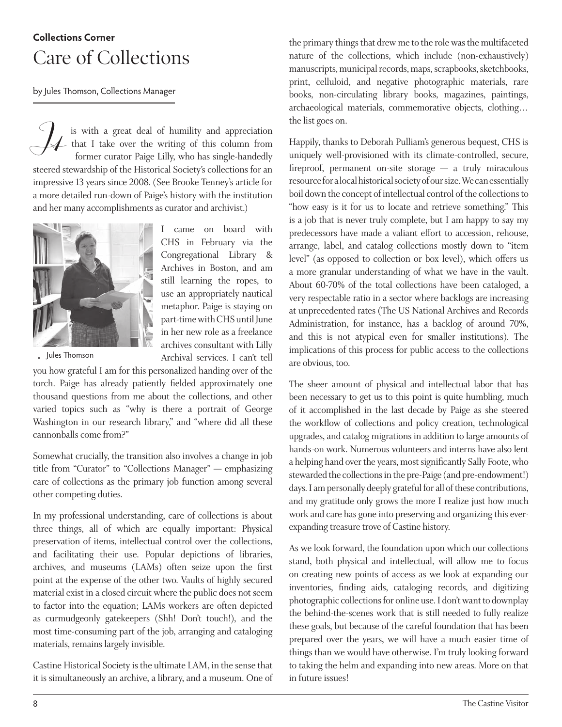### **Collections Corner** Care of Collections

by Jules Thomson, Collections Manager

is with a great deal of humility and appreciation that I take over the writing of this column from former curator Paige Lilly, who has single-handedly steered stewardship of the Historical Society's collections for an interaction of the Historical Society's collections for an interaction of the Historical Society's collections for an impressive 13 years since 2008. (See Brooke Tenney's article for a more detailed run-down of Paige's history with the institution and her many accomplishments as curator and archivist.)



Jules Thomson

I came on board with CHS in February via the Congregational Library & Archives in Boston, and am still learning the ropes, to use an appropriately nautical metaphor. Paige is staying on part-time with CHS until June in her new role as a freelance archives consultant with Lilly Archival services. I can't tell

you how grateful I am for this personalized handing over of the torch. Paige has already patiently fielded approximately one thousand questions from me about the collections, and other varied topics such as "why is there a portrait of George Washington in our research library," and "where did all these cannonballs come from?"

Somewhat crucially, the transition also involves a change in job title from "Curator" to "Collections Manager" — emphasizing care of collections as the primary job function among several other competing duties.

In my professional understanding, care of collections is about three things, all of which are equally important: Physical preservation of items, intellectual control over the collections, and facilitating their use. Popular depictions of libraries, archives, and museums (LAMs) often seize upon the first point at the expense of the other two. Vaults of highly secured material exist in a closed circuit where the public does not seem to factor into the equation; LAMs workers are often depicted as curmudgeonly gatekeepers (Shh! Don't touch!), and the most time-consuming part of the job, arranging and cataloging materials, remains largely invisible.

Castine Historical Society is the ultimate LAM, in the sense that it is simultaneously an archive, a library, and a museum. One of the primary things that drew me to the role was the multifaceted nature of the collections, which include (non-exhaustively) manuscripts, municipal records, maps, scrapbooks, sketchbooks, print, celluloid, and negative photographic materials, rare books, non-circulating library books, magazines, paintings, archaeological materials, commemorative objects, clothing… the list goes on.

Happily, thanks to Deborah Pulliam's generous bequest, CHS is uniquely well-provisioned with its climate-controlled, secure, fireproof, permanent on-site storage  $-$  a truly miraculous resource for a local historical society of our size. We can essentially boil down the concept of intellectual control of the collections to "how easy is it for us to locate and retrieve something." This is a job that is never truly complete, but I am happy to say my predecessors have made a valiant effort to accession, rehouse, arrange, label, and catalog collections mostly down to "item level" (as opposed to collection or box level), which offers us a more granular understanding of what we have in the vault. About 60-70% of the total collections have been cataloged, a very respectable ratio in a sector where backlogs are increasing at unprecedented rates (The US National Archives and Records Administration, for instance, has a backlog of around 70%, and this is not atypical even for smaller institutions). The implications of this process for public access to the collections are obvious, too.

The sheer amount of physical and intellectual labor that has been necessary to get us to this point is quite humbling, much of it accomplished in the last decade by Paige as she steered the workflow of collections and policy creation, technological upgrades, and catalog migrations in addition to large amounts of hands-on work. Numerous volunteers and interns have also lent a helping hand over the years, most signicantly Sally Foote, who stewarded the collections in the pre-Paige (and pre-endowment!) days. I am personally deeply grateful for all of these contributions, and my gratitude only grows the more I realize just how much work and care has gone into preserving and organizing this everexpanding treasure trove of Castine history.

As we look forward, the foundation upon which our collections stand, both physical and intellectual, will allow me to focus on creating new points of access as we look at expanding our inventories, finding aids, cataloging records, and digitizing photographic collections for online use. I don't want to downplay the behind-the-scenes work that is still needed to fully realize these goals, but because of the careful foundation that has been prepared over the years, we will have a much easier time of things than we would have otherwise. I'm truly looking forward to taking the helm and expanding into new areas. More on that in future issues!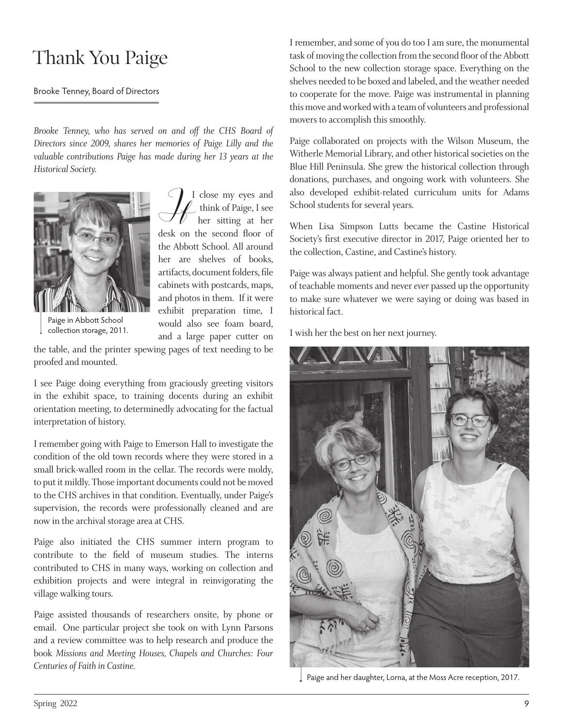# Thank You Paige

Brooke Tenney, Board of Directors

Brooke Tenney, who has served on and off the CHS Board of *Directors since 2009, shares her memories of Paige Lilly and the*  valuable contributions Paige has made during her 13 years at the *Historical Society.* 



 I close my eyes and think of Paige, I see her sitting at her think of Paige, I see<br>
the second floor of the Abbott School. All around her are shelves of books, artifacts, document folders, file cabinets with postcards, maps, and photos in them. If it were exhibit preparation time, I would also see foam board, and a large paper cutter on

Paige in Abbott School collection storage, 2011.

the table, and the printer spewing pages of text needing to be proofed and mounted.

I see Paige doing everything from graciously greeting visitors in the exhibit space, to training docents during an exhibit orientation meeting, to determinedly advocating for the factual interpretation of history.

I remember going with Paige to Emerson Hall to investigate the condition of the old town records where they were stored in a small brick-walled room in the cellar. The records were moldy, to put it mildly. Those important documents could not be moved to the CHS archives in that condition. Eventually, under Paige's supervision, the records were professionally cleaned and are now in the archival storage area at CHS.

Paige also initiated the CHS summer intern program to contribute to the field of museum studies. The interns contributed to CHS in many ways, working on collection and exhibition projects and were integral in reinvigorating the village walking tours.

Paige assisted thousands of researchers onsite, by phone or email. One particular project she took on with Lynn Parsons and a review committee was to help research and produce the book *Missions and Meeting Houses, Chapels and Churches: Four Centuries of Faith in Castine.* 

I remember, and some of you do too I am sure, the monumental task of moving the collection from the second floor of the Abbott School to the new collection storage space. Everything on the shelves needed to be boxed and labeled, and the weather needed to cooperate for the move. Paige was instrumental in planning this move and worked with a team of volunteers and professional movers to accomplish this smoothly.

Paige collaborated on projects with the Wilson Museum, the Witherle Memorial Library, and other historical societies on the Blue Hill Peninsula. She grew the historical collection through donations, purchases, and ongoing work with volunteers. She also developed exhibit-related curriculum units for Adams School students for several years.

When Lisa Simpson Lutts became the Castine Historical Society's first executive director in 2017, Paige oriented her to the collection, Castine, and Castine's history.

Paige was always patient and helpful. She gently took advantage of teachable moments and never *ever* passed up the opportunity to make sure whatever we were saying or doing was based in historical fact.

I wish her the best on her next journey.



Paige and her daughter, Lorna, at the Moss Acre reception, 2017.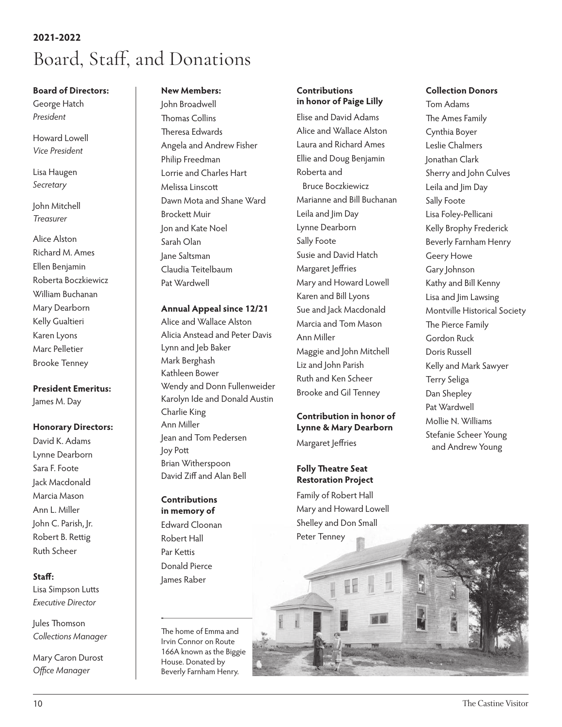### **2021-2022** Board, Staff, and Donations

#### **Board of Directors:**  $\qquad$  New Members:

George Hatch *President*

Howard Lowell *Vice President*

Lisa Haugen *Secretary*

John Mitchell *Treasurer*

Alice Alston Richard M. Ames Ellen Benjamin Roberta Boczkiewicz William Buchanan Mary Dearborn Kelly Gualtieri Karen Lyons Marc Pelletier Brooke Tenney

**President Emeritus:** 

James M. Day

#### **Honorary Directors:**

David K. Adams Lynne Dearborn Sara F. Foote Jack Macdonald Marcia Mason Ann L. Miller John C. Parish, Jr. Robert B. Rettig Ruth Scheer

#### Staff:

Lisa Simpson Lutts *Executive Director*

Jules Thomson *Collections Manager*

Mary Caron Durost **Office Manager** 

John Broadwell Thomas Collins Theresa Edwards Angela and Andrew Fisher Philip Freedman Lorrie and Charles Hart Melissa Linscott Dawn Mota and Shane Ward Brockett Muir Jon and Kate Noel Sarah Olan Jane Saltsman Claudia Teitelbaum Pat Wardwell

#### **Annual Appeal since 12/21**

Alice and Wallace Alston Alicia Anstead and Peter Davis Lynn and Jeb Baker Mark Berghash Kathleen Bower Wendy and Donn Fullenweider Karolyn Ide and Donald Austin Charlie King Ann Miller Jean and Tom Pedersen Joy Po Brian Witherspoon David Ziff and Alan Bell

#### **Contributions**

**in memory of** Edward Cloonan Robert Hall Par Kettis Donald Pierce James Raber

The home of Emma and Irvin Connor on Route 166A known as the Biggie House. Donated by Beverly Farnham Henry.

#### **Contributions in honor of Paige Lilly**

Elise and David Adams Alice and Wallace Alston Laura and Richard Ames Ellie and Doug Benjamin Roberta and Bruce Boczkiewicz Marianne and Bill Buchanan Leila and Jim Day Lynne Dearborn Sally Foote Susie and David Hatch Margaret Jeffries Mary and Howard Lowell Karen and Bill Lyons Sue and Jack Macdonald Marcia and Tom Mason Ann Miller Maggie and John Mitchell Liz and John Parish Ruth and Ken Scheer Brooke and Gil Tenney

#### **Contribution in honor of Lynne & Mary Dearborn**

Margaret Jeffries

#### **Folly Theatre Seat Restoration Project**

Family of Robert Hall Mary and Howard Lowell Shelley and Don Small Peter Tenney

#### **Collection Donors**

Tom Adams The Ames Family Cynthia Boyer Leslie Chalmers Jonathan Clark Sherry and John Culves Leila and Jim Day Sally Foote Lisa Foley-Pellicani Kelly Brophy Frederick Beverly Farnham Henry Geery Howe Gary Johnson Kathy and Bill Kenny Lisa and Jim Lawsing Montville Historical Society The Pierce Family Gordon Ruck Doris Russell Kelly and Mark Sawyer Terry Seliga Dan Shepley Pat Wardwell Mollie N. Williams Stefanie Scheer Young and Andrew Young

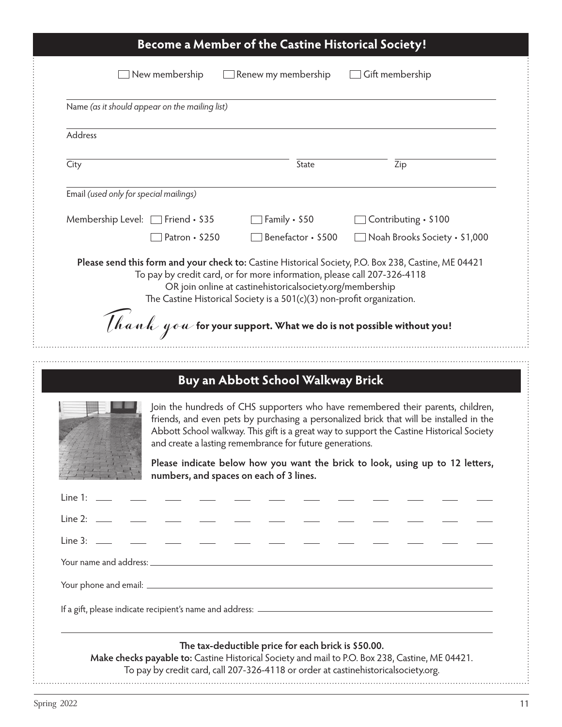|                                                                                                 |                | Become a Member of the Castine Historical Society!                                                                                  |                                                                                                                                                                                                                                                                          |
|-------------------------------------------------------------------------------------------------|----------------|-------------------------------------------------------------------------------------------------------------------------------------|--------------------------------------------------------------------------------------------------------------------------------------------------------------------------------------------------------------------------------------------------------------------------|
|                                                                                                 | New membership | Renew my membership                                                                                                                 | Gift membership                                                                                                                                                                                                                                                          |
| Name (as it should appear on the mailing list)                                                  |                |                                                                                                                                     |                                                                                                                                                                                                                                                                          |
| Address                                                                                         |                |                                                                                                                                     |                                                                                                                                                                                                                                                                          |
| City                                                                                            |                | State                                                                                                                               | Zip                                                                                                                                                                                                                                                                      |
| Email (used only for special mailings)                                                          |                |                                                                                                                                     |                                                                                                                                                                                                                                                                          |
| Membership Level: Friend · \$35                                                                 |                | Family · \$50                                                                                                                       | Contributing · \$100                                                                                                                                                                                                                                                     |
|                                                                                                 | Patron • \$250 | Benefactor · \$500                                                                                                                  | Noah Brooks Society • \$1,000                                                                                                                                                                                                                                            |
|                                                                                                 |                | OR join online at castinehistoricalsociety.org/membership<br>The Castine Historical Society is a 501(c)(3) non-profit organization. | $\hat{\textit{[}}\hat{\textit{}}\hat{\textit{}}\hat{\textit{}}\hat{\textit{}}\hat{\textit{}}\hat{\textit{}}\hat{\textit{}}\hat{\textit{}}\hat{\textit{}}$ or your support. What we do is not possible without you!                                                       |
|                                                                                                 |                | Buy an Abbott School Walkway Brick                                                                                                  |                                                                                                                                                                                                                                                                          |
|                                                                                                 |                | and create a lasting remembrance for future generations.                                                                            | Join the hundreds of CHS supporters who have remembered their parents, children,<br>friends, and even pets by purchasing a personalized brick that will be installed in the<br>Abbott School walkway. This gift is a great way to support the Castine Historical Society |
|                                                                                                 |                | numbers, and spaces on each of 3 lines.                                                                                             | Please indicate below how you want the brick to look, using up to 12 letters,                                                                                                                                                                                            |
| Line 1:                                                                                         |                |                                                                                                                                     |                                                                                                                                                                                                                                                                          |
| Line 2: $\_\_$                                                                                  |                |                                                                                                                                     |                                                                                                                                                                                                                                                                          |
| Line 3: $-$                                                                                     |                |                                                                                                                                     |                                                                                                                                                                                                                                                                          |
|                                                                                                 |                |                                                                                                                                     |                                                                                                                                                                                                                                                                          |
|                                                                                                 |                |                                                                                                                                     |                                                                                                                                                                                                                                                                          |
|                                                                                                 |                |                                                                                                                                     |                                                                                                                                                                                                                                                                          |
| Make checks payable to: Castine Historical Society and mail to P.O. Box 238, Castine, ME 04421. |                | The tax-deductible price for each brick is \$50.00.                                                                                 |                                                                                                                                                                                                                                                                          |